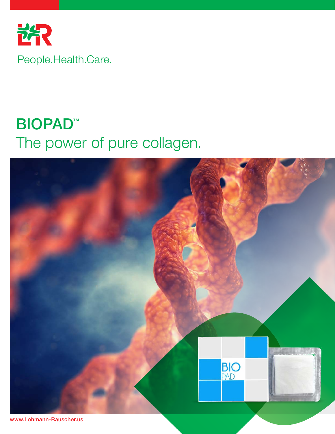

## BIOPAD™ The power of pure collagen.



www.Lohmann-Rauscher.us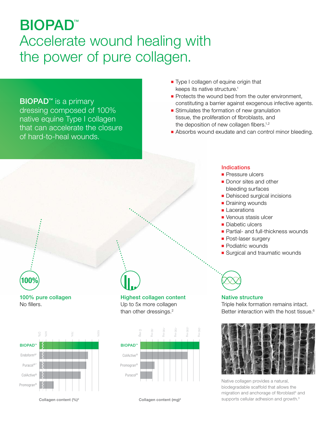## BIOPAD™ Accelerate wound healing with the power of pure collagen.

### **BIOPAD<sup>™</sup>** is a primary dressing composed of 100%

native equine Type I collagen that can accelerate the closure of hard-to-heal wounds.

- Type I collagen of equine origin that keeps its native structure.<sup>1</sup>
- Protects the wound bed from the outer environment, constituting a barrier against exogenous infective agents.
- Stimulates the formation of new granulation tissue, the proliferation of fibroblasts, and the deposition of new collagen fibers.<sup>1,2</sup>
- Absorbs wound exudate and can control minor bleeding.

100% pure collagen No fillers.

100%



#### Highest collagen content Up to 5x more collagen than other dressings.<sup>2</sup>



Collagen content  $(%)^2$  Collagen content (mg)<sup>2</sup>

#### Indications

- Pressure ulcers
- Donor sites and other bleeding surfaces
- Dehisced surgical incisions
- Draining wounds
- Lacerations
- Venous stasis ulcer
- Diabetic ulcers
- Partial- and full-thickness wounds
- Post-laser surgery
- Podiatric wounds
- Surgical and traumatic wounds



#### Native structure

Triple helix formation remains intact. Better interaction with the host tissue.<sup>6</sup>



Native collagen provides a natural, biodegradable scaffold that allows the migration and anchorage of fibroblast<sup>5</sup> and supports cellular adhesion and growth.<sup>3</sup>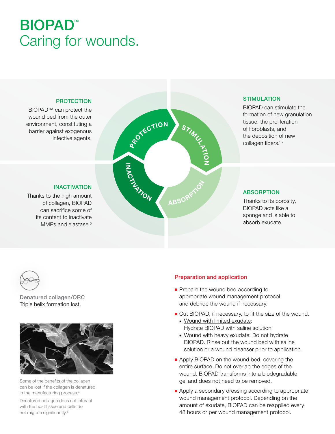## BIOPAD™ Caring for wounds.

#### PROTECTION

INACTIVATION

BIOPAD™ can protect the wound bed from the outer environment, constituting a barrier against exogenous infective agents.

Thanks to the high amount of collagen, BIOPAD can sacrifice some of its content to inactivate MMPs and elastase.<sup>5</sup>

# ROTECTION  $\mathbf{\circ}$ Z PATTER ABSORPTI

#### **STIMULATION**

BIOPAD can stimulate the formation of new granulation tissue, the proliferation of fibroblasts, and the deposition of new collagen fibers.<sup>1,2</sup>

#### ABSORPTION

Thanks to its porosity, BIOPAD acts like a sponge and is able to absorb exudate.



Denatured collagen/ORC Triple helix formation lost.



Some of the benefits of the collagen can be lost if the collagen is denatured in the manufacturing process.4

Denatured collagen does not interact with the host tissue and cells do not migrate significantly.3

#### Preparation and application

- Prepare the wound bed according to appropriate wound management protocol and debride the wound if necessary.
- Cut BIOPAD, if necessary, to fit the size of the wound.
	- ◆ Wound with limited exudate: Hydrate BIOPAD with saline solution.
	- ◆ Wound with heavy exudate: Do not hydrate BIOPAD. Rinse out the wound bed with saline solution or a wound cleanser prior to application.
- Apply BIOPAD on the wound bed, covering the entire surface. Do not overlap the edges of the wound. BIOPAD transforms into a biodegradable gel and does not need to be removed.
- Apply a secondary dressing according to appropriate wound management protocol. Depending on the amount of exudate, BIOPAD can be reapplied every 48 hours or per wound management protocol.